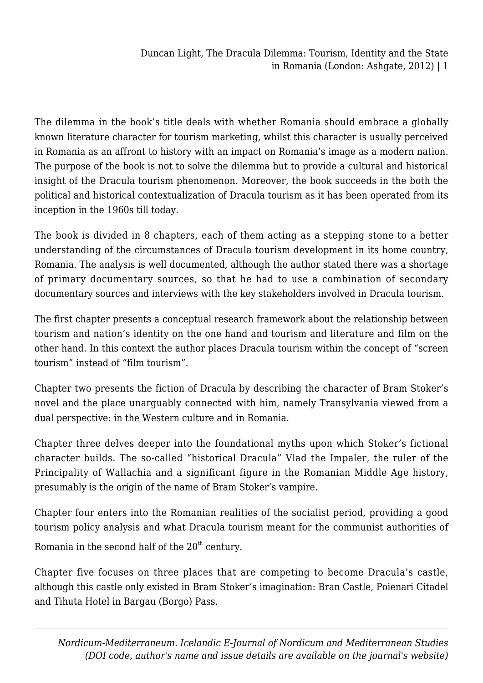Duncan Light, The Dracula Dilemma: Tourism, Identity and the State in Romania (London: Ashgate, 2012) | 1

The dilemma in the book's title deals with whether Romania should embrace a globally known literature character for tourism marketing, whilst this character is usually perceived in Romania as an affront to history with an impact on Romania's image as a modern nation. The purpose of the book is not to solve the dilemma but to provide a cultural and historical insight of the Dracula tourism phenomenon. Moreover, the book succeeds in the both the political and historical contextualization of Dracula tourism as it has been operated from its inception in the 1960s till today.

The book is divided in 8 chapters, each of them acting as a stepping stone to a better understanding of the circumstances of Dracula tourism development in its home country, Romania. The analysis is well documented, although the author stated there was a shortage of primary documentary sources, so that he had to use a combination of secondary documentary sources and interviews with the key stakeholders involved in Dracula tourism.

The first chapter presents a conceptual research framework about the relationship between tourism and nation's identity on the one hand and tourism and literature and film on the other hand. In this context the author places Dracula tourism within the concept of "screen tourism" instead of "film tourism".

Chapter two presents the fiction of Dracula by describing the character of Bram Stoker's novel and the place unarguably connected with him, namely Transylvania viewed from a dual perspective: in the Western culture and in Romania.

Chapter three delves deeper into the foundational myths upon which Stoker's fictional character builds. The so-called "historical Dracula" Vlad the Impaler, the ruler of the Principality of Wallachia and a significant figure in the Romanian Middle Age history, presumably is the origin of the name of Bram Stoker's vampire.

Chapter four enters into the Romanian realities of the socialist period, providing a good tourism policy analysis and what Dracula tourism meant for the communist authorities of Romania in the second half of the  $20<sup>th</sup>$  century.

Chapter five focuses on three places that are competing to become Dracula's castle, although this castle only existed in Bram Stoker's imagination: Bran Castle, Poienari Citadel and Tihuta Hotel in Bargau (Borgo) Pass.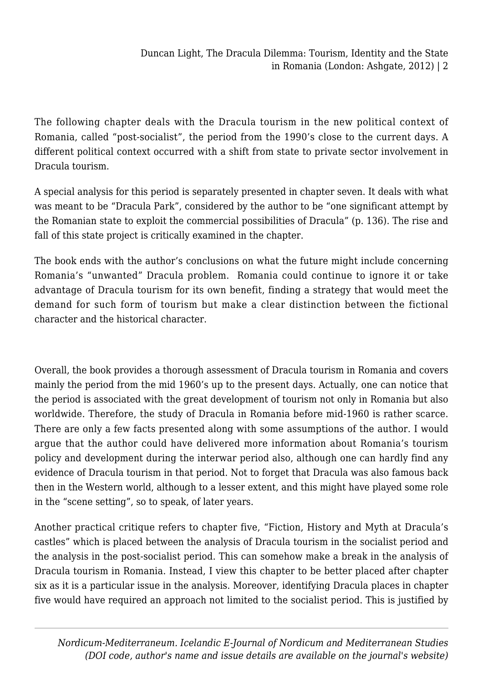The following chapter deals with the Dracula tourism in the new political context of Romania, called "post-socialist", the period from the 1990's close to the current days. A different political context occurred with a shift from state to private sector involvement in Dracula tourism.

A special analysis for this period is separately presented in chapter seven. It deals with what was meant to be "Dracula Park", considered by the author to be "one significant attempt by the Romanian state to exploit the commercial possibilities of Dracula" (p. 136). The rise and fall of this state project is critically examined in the chapter.

The book ends with the author's conclusions on what the future might include concerning Romania's "unwanted" Dracula problem. Romania could continue to ignore it or take advantage of Dracula tourism for its own benefit, finding a strategy that would meet the demand for such form of tourism but make a clear distinction between the fictional character and the historical character.

Overall, the book provides a thorough assessment of Dracula tourism in Romania and covers mainly the period from the mid 1960's up to the present days. Actually, one can notice that the period is associated with the great development of tourism not only in Romania but also worldwide. Therefore, the study of Dracula in Romania before mid-1960 is rather scarce. There are only a few facts presented along with some assumptions of the author. I would argue that the author could have delivered more information about Romania's tourism policy and development during the interwar period also, although one can hardly find any evidence of Dracula tourism in that period. Not to forget that Dracula was also famous back then in the Western world, although to a lesser extent, and this might have played some role in the "scene setting", so to speak, of later years.

Another practical critique refers to chapter five, "Fiction, History and Myth at Dracula's castles" which is placed between the analysis of Dracula tourism in the socialist period and the analysis in the post-socialist period. This can somehow make a break in the analysis of Dracula tourism in Romania. Instead, I view this chapter to be better placed after chapter six as it is a particular issue in the analysis. Moreover, identifying Dracula places in chapter five would have required an approach not limited to the socialist period. This is justified by